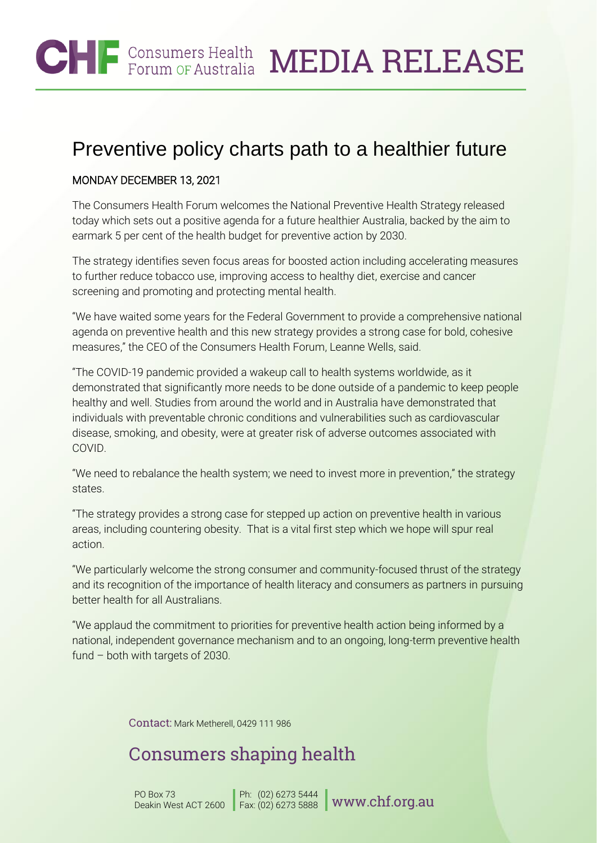#### **CHF** Consumers Health MEDIA RELEASE

## Preventive policy charts path to a healthier future

#### MONDAY DECEMBER 13, 2021

The Consumers Health Forum welcomes the National Preventive Health Strategy released today which sets out a positive agenda for a future healthier Australia, backed by the aim to earmark 5 per cent of the health budget for preventive action by 2030.

The strategy identifies seven focus areas for boosted action including accelerating measures to further reduce tobacco use, improving access to healthy diet, exercise and cancer screening and promoting and protecting mental health.

"We have waited some years for the Federal Government to provide a comprehensive national agenda on preventive health and this new strategy provides a strong case for bold, cohesive measures," the CEO of the Consumers Health Forum, Leanne Wells, said.

"The COVID-19 pandemic provided a wakeup call to health systems worldwide, as it demonstrated that significantly more needs to be done outside of a pandemic to keep people healthy and well. Studies from around the world and in Australia have demonstrated that individuals with preventable chronic conditions and vulnerabilities such as cardiovascular disease, smoking, and obesity, were at greater risk of adverse outcomes associated with COVID.

"We need to rebalance the health system; we need to invest more in prevention," the strategy states.

"The strategy provides a strong case for stepped up action on preventive health in various areas, including countering obesity. That is a vital first step which we hope will spur real action.

"We particularly welcome the strong consumer and community-focused thrust of the strategy and its recognition of the importance of health literacy and consumers as partners in pursuing better health for all Australians.

"We applaud the commitment to priorities for preventive health action being informed by a national, independent governance mechanism and to an ongoing, long-term preventive health fund – both with targets of 2030.

Contact: Mark Metherell, 0429 111 986

## Consumers shaping health

PO Box 73 Deakin West ACT 2600 Ph: Fax:  $^{(02)~6273~5444}_{(02)~6273~5888}$  [www.chf.org.au](http://www.chf.org.au/)